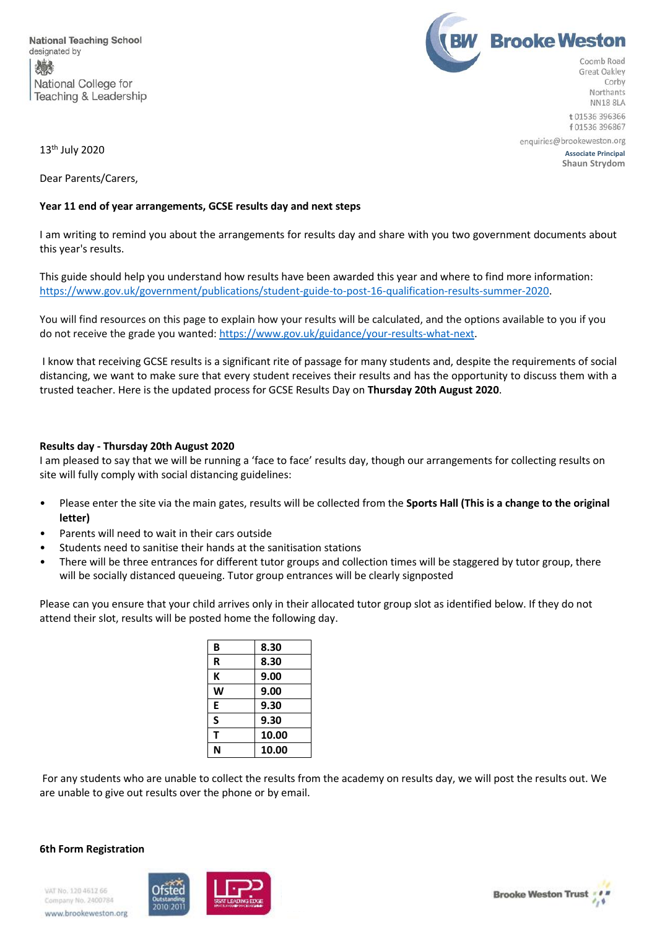



Northants **NN18 8LA** t 01536 396366 f 01536 396867

**13<sup>th</sup> July 2020** Associate Principal

**Shaun Strydom**

 $13<sup>th</sup>$  July 2020

Dear Parents/Carers,

## **Year 11 end of year arrangements, GCSE results day and next steps**

I am writing to remind you about the arrangements for results day and share with you two government documents about this year's results.

This guide should help you understand how results have been awarded this year and where to find more information: [https://www.gov.uk/government/publications/student-guide-to-post-16-qualification-results-summer-2020.](https://www.gov.uk/government/publications/student-guide-to-post-16-qualification-results-summer-2020)

You will find resources on this page to explain how your results will be calculated, and the options available to you if you do not receive the grade you wanted[: https://www.gov.uk/guidance/your-results-what-next.](https://www.gov.uk/guidance/your-results-what-next)

I know that receiving GCSE results is a significant rite of passage for many students and, despite the requirements of social distancing, we want to make sure that every student receives their results and has the opportunity to discuss them with a trusted teacher. Here is the updated process for GCSE Results Day on **Thursday 20th August 2020**.

## **Results day - Thursday 20th August 2020**

I am pleased to say that we will be running a 'face to face' results day, though our arrangements for collecting results on site will fully comply with social distancing guidelines:

- Please enter the site via the main gates, results will be collected from the **Sports Hall (This is a change to the original letter)**
- Parents will need to wait in their cars outside
- Students need to sanitise their hands at the sanitisation stations
- There will be three entrances for different tutor groups and collection times will be staggered by tutor group, there will be socially distanced queueing. Tutor group entrances will be clearly signposted

Please can you ensure that your child arrives only in their allocated tutor group slot as identified below. If they do not attend their slot, results will be posted home the following day.

| 8.30  |
|-------|
| 8.30  |
| 9.00  |
| 9.00  |
| 9.30  |
| 9.30  |
| 10.00 |
| 10.00 |
|       |

For any students who are unable to collect the results from the academy on results day, we will post the results out. We are unable to give out results over the phone or by email.

## **6th Form Registration**

VAT No. 120 4612 66 Company No. 2400784 www.brookeweston.org